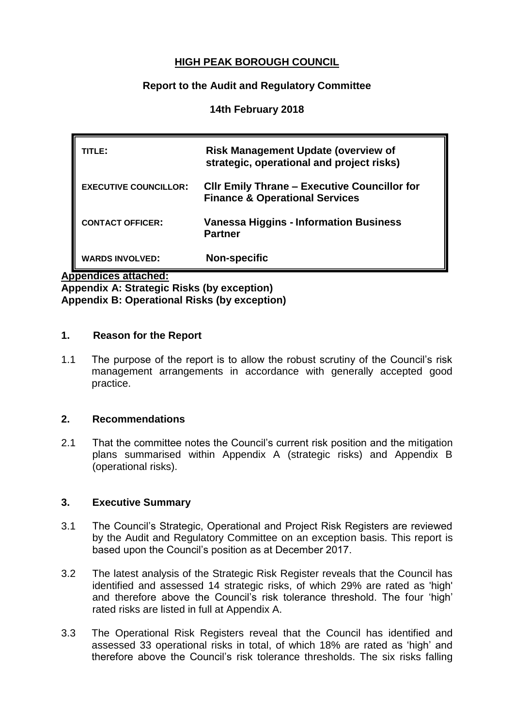## **HIGH PEAK BOROUGH COUNCIL**

### **Report to the Audit and Regulatory Committee**

### **14th February 2018**

| ITLE:                        | <b>Risk Management Update (overview of</b><br>strategic, operational and project risks)          |
|------------------------------|--------------------------------------------------------------------------------------------------|
| <b>EXECUTIVE COUNCILLOR:</b> | <b>CIIr Emily Thrane - Executive Councillor for</b><br><b>Finance &amp; Operational Services</b> |
| <b>CONTACT OFFICER:</b>      | <b>Vanessa Higgins - Information Business</b><br><b>Partner</b>                                  |
| <b>WARDS INVOLVED:</b>       | <b>Non-specific</b>                                                                              |

**Appendices attached:** 

**Appendix A: Strategic Risks (by exception) Appendix B: Operational Risks (by exception)**

#### **1. Reason for the Report**

1.1 The purpose of the report is to allow the robust scrutiny of the Council's risk management arrangements in accordance with generally accepted good practice.

#### **2. Recommendations**

2.1 That the committee notes the Council's current risk position and the mitigation plans summarised within Appendix A (strategic risks) and Appendix B (operational risks).

#### **3. Executive Summary**

- 3.1 The Council's Strategic, Operational and Project Risk Registers are reviewed by the Audit and Regulatory Committee on an exception basis. This report is based upon the Council's position as at December 2017.
- 3.2 The latest analysis of the Strategic Risk Register reveals that the Council has identified and assessed 14 strategic risks, of which 29% are rated as 'high' and therefore above the Council's risk tolerance threshold. The four 'high' rated risks are listed in full at Appendix A.
- 3.3 The Operational Risk Registers reveal that the Council has identified and assessed 33 operational risks in total, of which 18% are rated as 'high' and therefore above the Council's risk tolerance thresholds. The six risks falling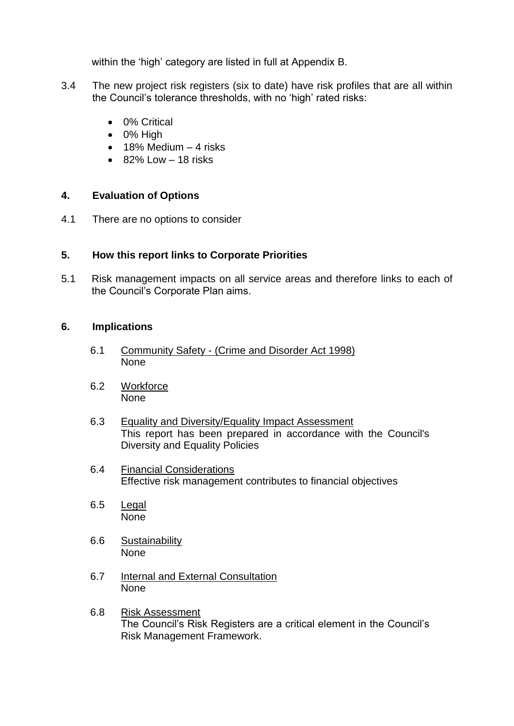within the 'high' category are listed in full at Appendix B.

- 3.4 The new project risk registers (six to date) have risk profiles that are all within the Council's tolerance thresholds, with no 'high' rated risks:
	- 0% Critical
	- $\bullet$  0% High
	- $\bullet$  18% Medium  $-4$  risks
	- 82% Low 18 risks

## **4. Evaluation of Options**

4.1 There are no options to consider

## **5. How this report links to Corporate Priorities**

5.1 Risk management impacts on all service areas and therefore links to each of the Council's Corporate Plan aims.

### **6. Implications**

- 6.1 Community Safety (Crime and Disorder Act 1998) None
- 6.2 Workforce None
- 6.3 Equality and Diversity/Equality Impact Assessment This report has been prepared in accordance with the Council's Diversity and Equality Policies
- 6.4 Financial Considerations Effective risk management contributes to financial objectives
- 6.5 Legal None
- 6.6 Sustainability None
- 6.7 Internal and External Consultation None
- 6.8 Risk Assessment The Council's Risk Registers are a critical element in the Council's Risk Management Framework.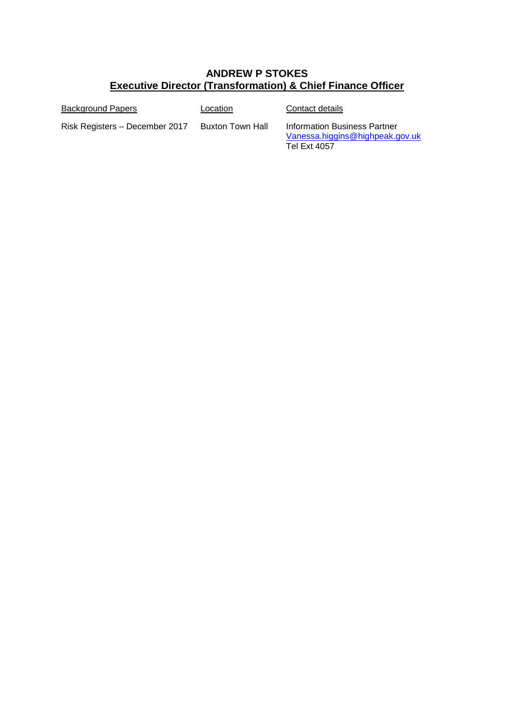# **ANDREW P STOKES Executive Director (Transformation) & Chief Finance Officer**

| Background Papers              | Location         | Contact details                                                                 |
|--------------------------------|------------------|---------------------------------------------------------------------------------|
| Risk Registers – December 2017 | Buxton Town Hall | Information Business Partner<br>Vanessa.higgins@highpeak.gov.uk<br>Tel Ext 4057 |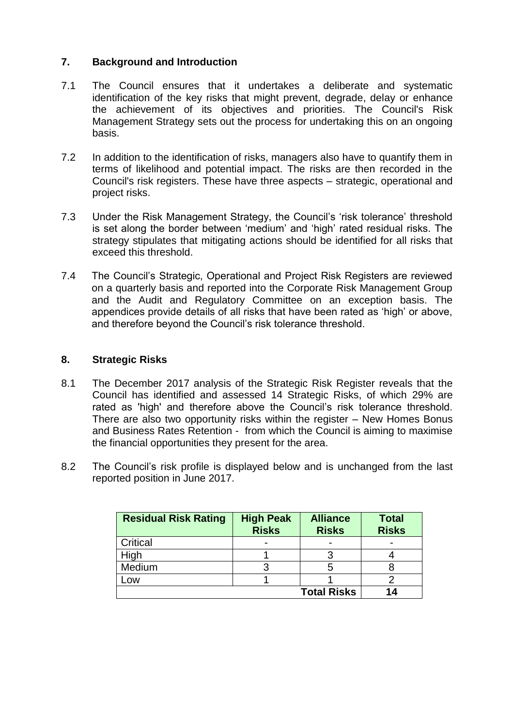### **7. Background and Introduction**

- 7.1 The Council ensures that it undertakes a deliberate and systematic identification of the key risks that might prevent, degrade, delay or enhance the achievement of its objectives and priorities. The Council's Risk Management Strategy sets out the process for undertaking this on an ongoing basis.
- 7.2 In addition to the identification of risks, managers also have to quantify them in terms of likelihood and potential impact. The risks are then recorded in the Council's risk registers. These have three aspects – strategic, operational and project risks.
- 7.3 Under the Risk Management Strategy, the Council's 'risk tolerance' threshold is set along the border between 'medium' and 'high' rated residual risks. The strategy stipulates that mitigating actions should be identified for all risks that exceed this threshold.
- 7.4 The Council's Strategic, Operational and Project Risk Registers are reviewed on a quarterly basis and reported into the Corporate Risk Management Group and the Audit and Regulatory Committee on an exception basis. The appendices provide details of all risks that have been rated as 'high' or above, and therefore beyond the Council's risk tolerance threshold.

#### **8. Strategic Risks**

- 8.1 The December 2017 analysis of the Strategic Risk Register reveals that the Council has identified and assessed 14 Strategic Risks, of which 29% are rated as 'high' and therefore above the Council's risk tolerance threshold. There are also two opportunity risks within the register – New Homes Bonus and Business Rates Retention - from which the Council is aiming to maximise the financial opportunities they present for the area.
- 8.2 The Council's risk profile is displayed below and is unchanged from the last reported position in June 2017.

| <b>Residual Risk Rating</b> | <b>High Peak</b><br><b>Risks</b> | <b>Alliance</b><br><b>Risks</b> | <b>Total</b><br><b>Risks</b> |
|-----------------------------|----------------------------------|---------------------------------|------------------------------|
| Critical                    | $\overline{\phantom{0}}$         |                                 |                              |
| High                        |                                  |                                 |                              |
| Medium                      |                                  | ხ                               |                              |
| -ow                         |                                  |                                 |                              |
|                             |                                  | <b>Total Risks</b>              | 14                           |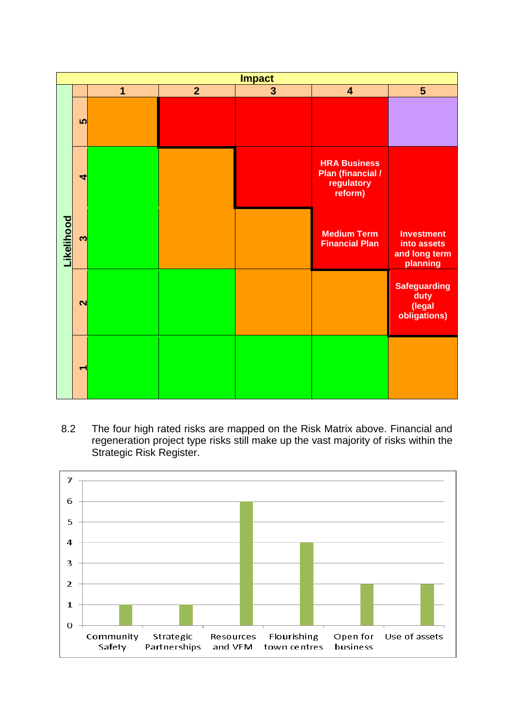

8.2 The four high rated risks are mapped on the Risk Matrix above. Financial and regeneration project type risks still make up the vast majority of risks within the Strategic Risk Register.

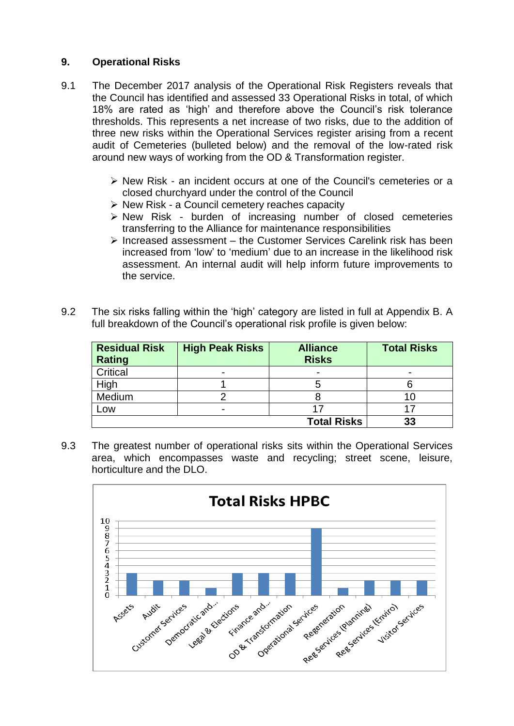## **9. Operational Risks**

- 9.1 The December 2017 analysis of the Operational Risk Registers reveals that the Council has identified and assessed 33 Operational Risks in total, of which 18% are rated as 'high' and therefore above the Council's risk tolerance thresholds. This represents a net increase of two risks, due to the addition of three new risks within the Operational Services register arising from a recent audit of Cemeteries (bulleted below) and the removal of the low-rated risk around new ways of working from the OD & Transformation register.
	- $\triangleright$  New Risk an incident occurs at one of the Council's cemeteries or a closed churchyard under the control of the Council
	- $\triangleright$  New Risk a Council cemetery reaches capacity
	- $\triangleright$  New Risk burden of increasing number of closed cemeteries transferring to the Alliance for maintenance responsibilities
	- $\triangleright$  Increased assessment the Customer Services Carelink risk has been increased from 'low' to 'medium' due to an increase in the likelihood risk assessment. An internal audit will help inform future improvements to the service.
- 9.2 The six risks falling within the 'high' category are listed in full at Appendix B. A full breakdown of the Council's operational risk profile is given below:

| <b>Residual Risk</b><br>Rating | <b>High Peak Risks</b> | <b>Alliance</b><br><b>Risks</b> | <b>Total Risks</b> |
|--------------------------------|------------------------|---------------------------------|--------------------|
| Critical                       |                        | $\overline{\phantom{0}}$        |                    |
| High                           |                        |                                 |                    |
| Medium                         |                        |                                 | 10                 |
| Low                            |                        |                                 |                    |
|                                |                        | <b>Total Risks</b>              | 33                 |

9.3 The greatest number of operational risks sits within the Operational Services area, which encompasses waste and recycling; street scene, leisure, horticulture and the DLO.